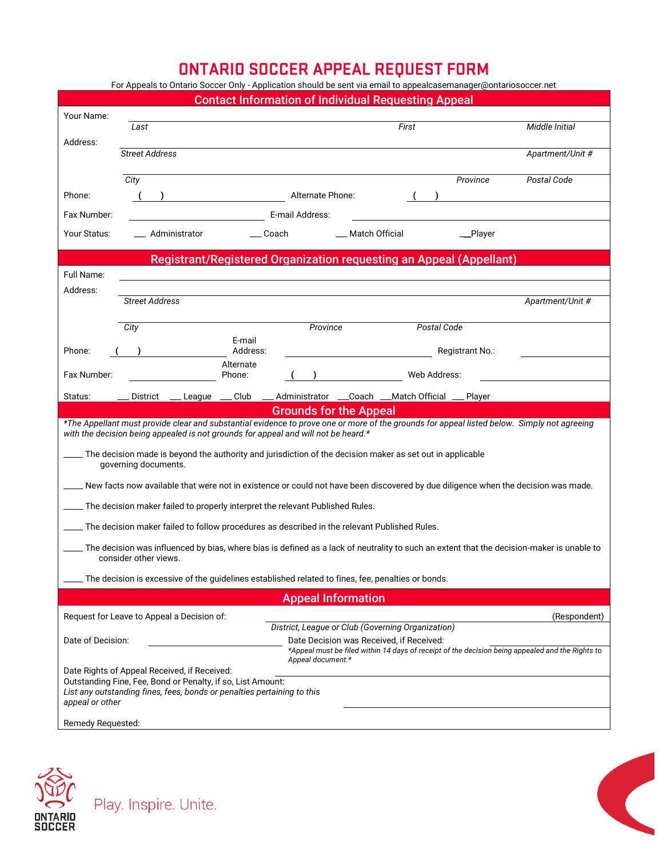## **ONTARIO SOCCER APPEAL REQUEST FORM**

| For Appeals to Ontario Soccer Only - Application should be sent via email to appealcasemanager@ontariosoccer.net                                                                                                                  |                                            |                    |                                                               |                                                                                                  |                  |  |
|-----------------------------------------------------------------------------------------------------------------------------------------------------------------------------------------------------------------------------------|--------------------------------------------|--------------------|---------------------------------------------------------------|--------------------------------------------------------------------------------------------------|------------------|--|
| <b>Contact Information of Individual Requesting Appeal</b>                                                                                                                                                                        |                                            |                    |                                                               |                                                                                                  |                  |  |
| Your Name:                                                                                                                                                                                                                        | Last                                       |                    |                                                               | First                                                                                            | Middle Initial   |  |
| Address:                                                                                                                                                                                                                          |                                            |                    |                                                               |                                                                                                  |                  |  |
|                                                                                                                                                                                                                                   | <b>Street Address</b>                      |                    |                                                               |                                                                                                  | Apartment/Unit # |  |
|                                                                                                                                                                                                                                   | City                                       |                    |                                                               | Province                                                                                         | Postal Code      |  |
| Phone:                                                                                                                                                                                                                            |                                            |                    | Alternate Phone:                                              |                                                                                                  |                  |  |
| Fax Number:                                                                                                                                                                                                                       | E-mail Address:                            |                    |                                                               |                                                                                                  |                  |  |
| Your Status:                                                                                                                                                                                                                      | Administrator                              | Coach              | ___ Match Official                                            | _Player                                                                                          |                  |  |
| Registrant/Registered Organization requesting an Appeal (Appellant)                                                                                                                                                               |                                            |                    |                                                               |                                                                                                  |                  |  |
| Full Name:                                                                                                                                                                                                                        |                                            |                    |                                                               |                                                                                                  |                  |  |
| Address:                                                                                                                                                                                                                          |                                            |                    |                                                               |                                                                                                  |                  |  |
|                                                                                                                                                                                                                                   | <b>Street Address</b>                      |                    |                                                               |                                                                                                  | Apartment/Unit # |  |
|                                                                                                                                                                                                                                   | City                                       |                    | Province                                                      | Postal Code                                                                                      |                  |  |
|                                                                                                                                                                                                                                   |                                            | E-mail<br>Address: |                                                               | Registrant No.:                                                                                  |                  |  |
| Phone:                                                                                                                                                                                                                            |                                            | Alternate          |                                                               |                                                                                                  |                  |  |
| Fax Number:                                                                                                                                                                                                                       |                                            | Phone:             |                                                               | Web Address:                                                                                     |                  |  |
| Status:                                                                                                                                                                                                                           |                                            |                    |                                                               | District ___League ___Club ___Administrator ___Coach ___Match Official ___Player                 |                  |  |
| <b>Grounds for the Appeal</b>                                                                                                                                                                                                     |                                            |                    |                                                               |                                                                                                  |                  |  |
| *The Appellant must provide clear and substantial evidence to prove one or more of the grounds for appeal listed below. Simply not agreeing<br>with the decision being appealed is not grounds for appeal and will not be heard.* |                                            |                    |                                                               |                                                                                                  |                  |  |
| . The decision made is beyond the authority and jurisdiction of the decision maker as set out in applicable<br>governing documents.                                                                                               |                                            |                    |                                                               |                                                                                                  |                  |  |
| __ New facts now available that were not in existence or could not have been discovered by due diligence when the decision was made.                                                                                              |                                            |                    |                                                               |                                                                                                  |                  |  |
| The decision maker failed to properly interpret the relevant Published Rules.                                                                                                                                                     |                                            |                    |                                                               |                                                                                                  |                  |  |
| ____ The decision maker failed to follow procedures as described in the relevant Published Rules.                                                                                                                                 |                                            |                    |                                                               |                                                                                                  |                  |  |
| The decision was influenced by bias, where bias is defined as a lack of neutrality to such an extent that the decision-maker is unable to _______________________<br>consider other views.                                        |                                            |                    |                                                               |                                                                                                  |                  |  |
| The decision is excessive of the guidelines established related to fines, fee, penalties or bonds.                                                                                                                                |                                            |                    |                                                               |                                                                                                  |                  |  |
|                                                                                                                                                                                                                                   |                                            |                    | <b>Appeal Information</b>                                     |                                                                                                  |                  |  |
|                                                                                                                                                                                                                                   | Request for Leave to Appeal a Decision of: |                    |                                                               |                                                                                                  | (Respondent)     |  |
|                                                                                                                                                                                                                                   |                                            |                    | District, League or Club (Governing Organization)             |                                                                                                  |                  |  |
| Date of Decision:                                                                                                                                                                                                                 |                                            |                    | Date Decision was Received, if Received:<br>Appeal document.* | *Appeal must be filed within 14 days of receipt of the decision being appealed and the Rights to |                  |  |
| Date Rights of Appeal Received, if Received:                                                                                                                                                                                      |                                            |                    |                                                               |                                                                                                  |                  |  |
| Outstanding Fine, Fee, Bond or Penalty, if so, List Amount:<br>List any outstanding fines, fees, bonds or penalties pertaining to this<br>appeal or other                                                                         |                                            |                    |                                                               |                                                                                                  |                  |  |
| Remedy Requested:                                                                                                                                                                                                                 |                                            |                    |                                                               |                                                                                                  |                  |  |